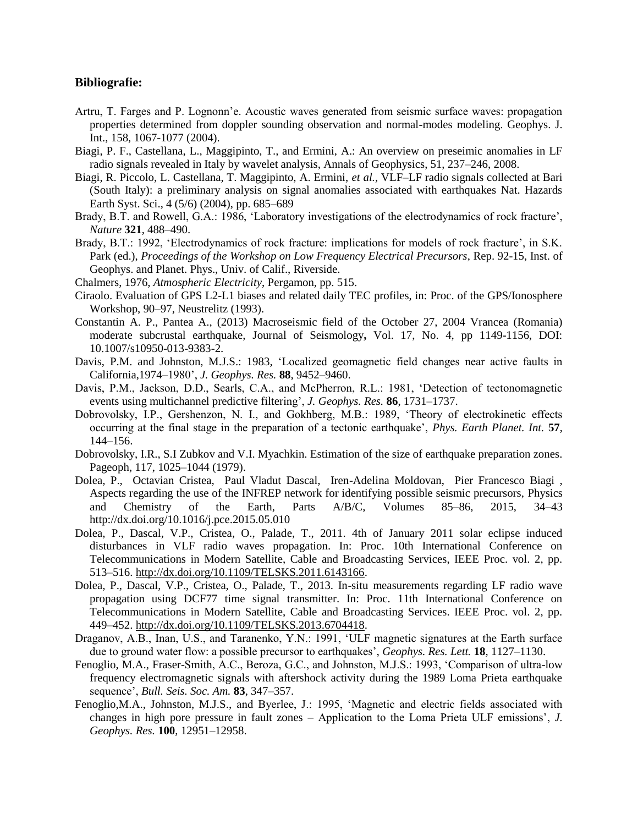## **Bibliografie:**

- Artru, T. Farges and P. Lognonn'e. Acoustic waves generated from seismic surface waves: propagation properties determined from doppler sounding observation and normal-modes modeling. Geophys. J. Int., 158, 1067-1077 (2004).
- Biagi, P. F., Castellana, L., Maggipinto, T., and Ermini, A.: An overview on preseimic anomalies in LF radio signals revealed in Italy by wavelet analysis, Annals of Geophysics, 51, 237–246, 2008.
- Biagi, R. Piccolo, L. Castellana, T. Maggipinto, A. Ermini, *et al.,* VLF–LF radio signals collected at Bari (South Italy): a preliminary analysis on signal anomalies associated with earthquakes Nat. Hazards Earth Syst. Sci., 4 (5/6) (2004), pp. 685–689
- Brady, B.T. and Rowell, G.A.: 1986, 'Laboratory investigations of the electrodynamics of rock fracture', *Nature* **321**, 488–490.
- Brady, B.T.: 1992, 'Electrodynamics of rock fracture: implications for models of rock fracture', in S.K. Park (ed.), *Proceedings of the Workshop on Low Frequency Electrical Precursors*, Rep. 92-15, Inst. of Geophys. and Planet. Phys., Univ. of Calif., Riverside.
- Chalmers, 1976, *Atmospheric Electricity*, Pergamon, pp. 515.
- Ciraolo. Evaluation of GPS L2-L1 biases and related daily TEC profiles, in: Proc. of the GPS/Ionosphere Workshop, 90–97, Neustrelitz (1993).
- Constantin A. P., Pantea A., (2013) Macroseismic field of the October 27, 2004 Vrancea (Romania) moderate subcrustal earthquake, Journal of Seismology**,** Vol. 17, No. 4, pp 1149-1156, DOI: 10.1007/s10950-013-9383-2.
- Davis, P.M. and Johnston, M.J.S.: 1983, 'Localized geomagnetic field changes near active faults in California,1974–1980', *J. Geophys. Res.* **88**, 9452–9460.
- Davis, P.M., Jackson, D.D., Searls, C.A., and McPherron, R.L.: 1981, 'Detection of tectonomagnetic events using multichannel predictive filtering', *J. Geophys. Res.* **86**, 1731–1737.
- Dobrovolsky, I.P., Gershenzon, N. I., and Gokhberg, M.B.: 1989, 'Theory of electrokinetic effects occurring at the final stage in the preparation of a tectonic earthquake', *Phys. Earth Planet. Int.* **57**, 144–156.
- Dobrovolsky, I.R., S.I Zubkov and V.I. Myachkin. Estimation of the size of earthquake preparation zones. Pageoph, 117, 1025–1044 (1979).
- Dolea, P., Octavian Cristea, Paul Vladut Dascal, Iren-Adelina Moldovan, Pier Francesco Biagi , Aspects regarding the use of the INFREP network for identifying possible seismic precursors, Physics and Chemistry of the Earth, Parts A/B/C, Volumes 85–86, 2015, 34–43 http://dx.doi.org/10.1016/j.pce.2015.05.010
- Dolea, P., Dascal, V.P., Cristea, O., Palade, T., 2011. 4th of January 2011 solar eclipse induced disturbances in VLF radio waves propagation. In: Proc. 10th International Conference on Telecommunications in Modern Satellite, Cable and Broadcasting Services, IEEE Proc. vol. 2, pp. 513–516. [http://dx.doi.org/10.1109/TELSKS.2011.6143166.](http://dx.doi.org/10.1109/TELSKS.2011.6143166)
- Dolea, P., Dascal, V.P., Cristea, O., Palade, T., 2013. In-situ measurements regarding LF radio wave propagation using DCF77 time signal transmitter. In: Proc. 11th International Conference on Telecommunications in Modern Satellite, Cable and Broadcasting Services. IEEE Proc. vol. 2, pp. 449–452. [http://dx.doi.org/10.1109/TELSKS.2013.6704418.](http://dx.doi.org/10.1109/TELSKS.2013.6704418)
- Draganov, A.B., Inan, U.S., and Taranenko, Y.N.: 1991, 'ULF magnetic signatures at the Earth surface due to ground water flow: a possible precursor to earthquakes', *Geophys. Res. Lett.* **18**, 1127–1130.
- Fenoglio, M.A., Fraser-Smith, A.C., Beroza, G.C., and Johnston, M.J.S.: 1993, 'Comparison of ultra-low frequency electromagnetic signals with aftershock activity during the 1989 Loma Prieta earthquake sequence', *Bull. Seis. Soc. Am.* **83**, 347–357.
- Fenoglio,M.A., Johnston, M.J.S., and Byerlee, J.: 1995, 'Magnetic and electric fields associated with changes in high pore pressure in fault zones – Application to the Loma Prieta ULF emissions', *J. Geophys. Res.* **100**, 12951–12958.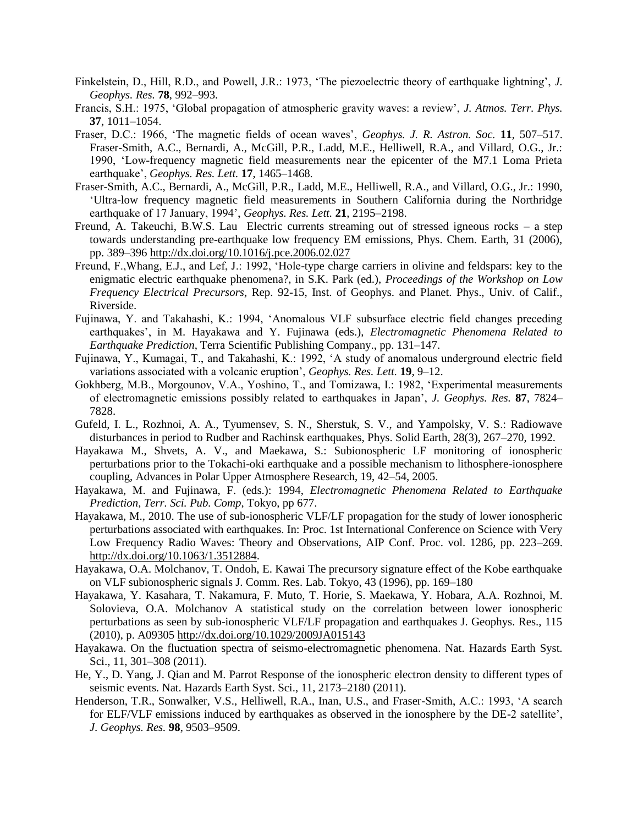- Finkelstein, D., Hill, R.D., and Powell, J.R.: 1973, 'The piezoelectric theory of earthquake lightning', *J. Geophys. Res.* **78**, 992–993.
- Francis, S.H.: 1975, 'Global propagation of atmospheric gravity waves: a review', *J. Atmos. Terr. Phys.*  **37**, 1011–1054.
- Fraser, D.C.: 1966, 'The magnetic fields of ocean waves', *Geophys. J. R. Astron. Soc.* **11**, 507–517. Fraser-Smith, A.C., Bernardi, A., McGill, P.R., Ladd, M.E., Helliwell, R.A., and Villard, O.G., Jr.: 1990, 'Low-frequency magnetic field measurements near the epicenter of the M7.1 Loma Prieta earthquake', *Geophys. Res. Lett.* **17**, 1465–1468.
- Fraser-Smith, A.C., Bernardi, A., McGill, P.R., Ladd, M.E., Helliwell, R.A., and Villard, O.G., Jr.: 1990, 'Ultra-low frequency magnetic field measurements in Southern California during the Northridge earthquake of 17 January, 1994', *Geophys. Res. Lett.* **21**, 2195–2198.
- Freund, A. Takeuchi, B.W.S. Lau Electric currents streaming out of stressed igneous rocks a step towards understanding pre-earthquake low frequency EM emissions, Phys. Chem. Earth, 31 (2006), pp. 389–396<http://dx.doi.org/10.1016/j.pce.2006.02.027>
- Freund, F.,Whang, E.J., and Lef, J.: 1992, 'Hole-type charge carriers in olivine and feldspars: key to the enigmatic electric earthquake phenomena?, in S.K. Park (ed.), *Proceedings of the Workshop on Low Frequency Electrical Precursors*, Rep. 92-15, Inst. of Geophys. and Planet. Phys., Univ. of Calif., Riverside.
- Fujinawa, Y. and Takahashi, K.: 1994, 'Anomalous VLF subsurface electric field changes preceding earthquakes', in M. Hayakawa and Y. Fujinawa (eds.), *Electromagnetic Phenomena Related to Earthquake Prediction*, Terra Scientific Publishing Company., pp. 131–147.
- Fujinawa, Y., Kumagai, T., and Takahashi, K.: 1992, 'A study of anomalous underground electric field variations associated with a volcanic eruption', *Geophys. Res. Lett.* **19**, 9–12.
- Gokhberg, M.B., Morgounov, V.A., Yoshino, T., and Tomizawa, I.: 1982, 'Experimental measurements of electromagnetic emissions possibly related to earthquakes in Japan', *J. Geophys. Res.* **87**, 7824– 7828.
- Gufeld, I. L., Rozhnoi, A. A., Tyumensev, S. N., Sherstuk, S. V., and Yampolsky, V. S.: Radiowave disturbances in period to Rudber and Rachinsk earthquakes, Phys. Solid Earth, 28(3), 267–270, 1992.
- Hayakawa M., Shvets, A. V., and Maekawa, S.: Subionospheric LF monitoring of ionospheric perturbations prior to the Tokachi-oki earthquake and a possible mechanism to lithosphere-ionosphere coupling, Advances in Polar Upper Atmosphere Research, 19, 42–54, 2005.
- Hayakawa, M. and Fujinawa, F. (eds.): 1994, *Electromagnetic Phenomena Related to Earthquake Prediction*, *Terr. Sci. Pub. Comp*, Tokyo, pp 677.
- Hayakawa, M., 2010. The use of sub-ionospheric VLF/LF propagation for the study of lower ionospheric perturbations associated with earthquakes. In: Proc. 1st International Conference on Science with Very Low Frequency Radio Waves: Theory and Observations, AIP Conf. Proc. vol. 1286, pp. 223–269. [http://dx.doi.org/10.1063/1.3512884.](http://dx.doi.org/10.1063/1.3512884)
- Hayakawa, O.A. Molchanov, T. Ondoh, E. Kawai The precursory signature effect of the Kobe earthquake on VLF subionospheric signals J. Comm. Res. Lab. Tokyo, 43 (1996), pp. 169–180
- Hayakawa, Y. Kasahara, T. Nakamura, F. Muto, T. Horie, S. Maekawa, Y. Hobara, A.A. Rozhnoi, M. Solovieva, O.A. Molchanov A statistical study on the correlation between lower ionospheric perturbations as seen by sub-ionospheric VLF/LF propagation and earthquakes J. Geophys. Res., 115 (2010), p. A09305<http://dx.doi.org/10.1029/2009JA015143>
- Hayakawa. On the fluctuation spectra of seismo-electromagnetic phenomena. Nat. Hazards Earth Syst. Sci., 11, 301–308 (2011).
- He, Y., D. Yang, J. Qian and M. Parrot Response of the ionospheric electron density to different types of seismic events. Nat. Hazards Earth Syst. Sci., 11, 2173–2180 (2011).
- Henderson, T.R., Sonwalker, V.S., Helliwell, R.A., Inan, U.S., and Fraser-Smith, A.C.: 1993, 'A search for ELF/VLF emissions induced by earthquakes as observed in the ionosphere by the DE-2 satellite', *J. Geophys. Res.* **98**, 9503–9509.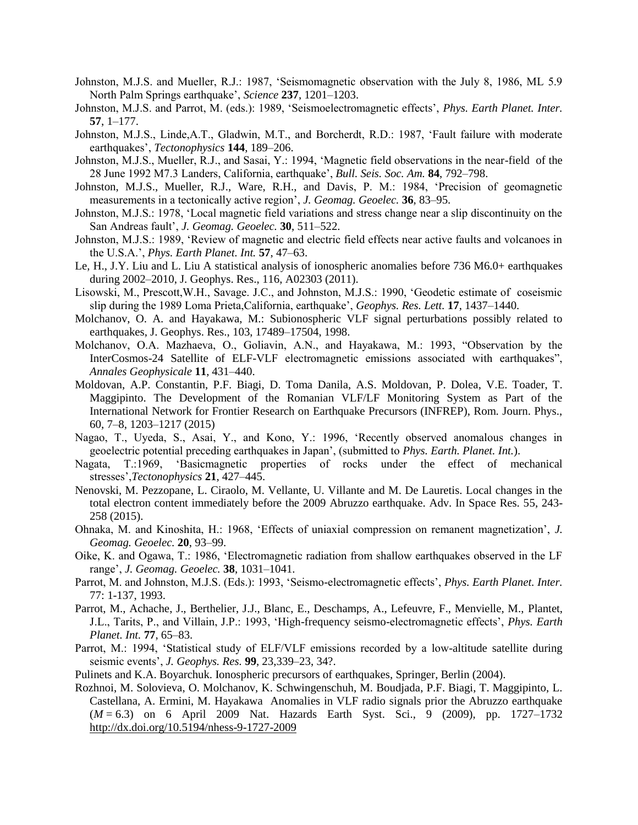- Johnston, M.J.S. and Mueller, R.J.: 1987, 'Seismomagnetic observation with the July 8, 1986, ML 5.9 North Palm Springs earthquake', *Science* **237**, 1201–1203.
- Johnston, M.J.S. and Parrot, M. (eds.): 1989, 'Seismoelectromagnetic effects', *Phys. Earth Planet. Inter.*  **57**, 1–177.
- Johnston, M.J.S., Linde,A.T., Gladwin, M.T., and Borcherdt, R.D.: 1987, 'Fault failure with moderate earthquakes', *Tectonophysics* **144**, 189–206.
- Johnston, M.J.S., Mueller, R.J., and Sasai, Y.: 1994, 'Magnetic field observations in the near-field of the 28 June 1992 M7.3 Landers, California, earthquake', *Bull. Seis. Soc. Am.* **84**, 792–798.
- Johnston, M.J.S., Mueller, R.J., Ware, R.H., and Davis, P. M.: 1984, 'Precision of geomagnetic measurements in a tectonically active region', *J. Geomag. Geoelec.* **36**, 83–95.
- Johnston, M.J.S.: 1978, 'Local magnetic field variations and stress change near a slip discontinuity on the San Andreas fault', *J. Geomag. Geoelec.* **30**, 511–522.
- Johnston, M.J.S.: 1989, 'Review of magnetic and electric field effects near active faults and volcanoes in the U.S.A.', *Phys. Earth Planet. Int.* **57**, 47–63.
- Le, H., J.Y. Liu and L. Liu A statistical analysis of ionospheric anomalies before 736 M6.0+ earthquakes during 2002–2010, J. Geophys. Res., 116, A02303 (2011).
- Lisowski, M., Prescott,W.H., Savage. J.C., and Johnston, M.J.S.: 1990, 'Geodetic estimate of coseismic slip during the 1989 Loma Prieta,California, earthquake', *Geophys. Res. Lett.* **17**, 1437–1440.
- Molchanov, O. A. and Hayakawa, M.: Subionospheric VLF signal perturbations possibly related to earthquakes, J. Geophys. Res., 103, 17489–17504, 1998.
- Molchanov, O.A. Mazhaeva, O., Goliavin, A.N., and Hayakawa, M.: 1993, "Observation by the InterCosmos-24 Satellite of ELF-VLF electromagnetic emissions associated with earthquakes", *Annales Geophysicale* **11**, 431–440.
- Moldovan, A.P. Constantin, P.F. Biagi, D. Toma Danila, A.S. Moldovan, P. Dolea, V.E. Toader, T. Maggipinto. The Development of the Romanian VLF/LF Monitoring System as Part of the International Network for Frontier Research on Earthquake Precursors (INFREP), Rom. Journ. Phys., 60, 7–8, 1203–1217 (2015)
- Nagao, T., Uyeda, S., Asai, Y., and Kono, Y.: 1996, 'Recently observed anomalous changes in geoelectric potential preceding earthquakes in Japan', (submitted to *Phys. Earth. Planet. Int.*).
- Nagata, T.:1969, 'Basicmagnetic properties of rocks under the effect of mechanical stresses',*Tectonophysics* **21**, 427–445.
- Nenovski, M. Pezzopane, L. Ciraolo, M. Vellante, U. Villante and M. De Lauretis. Local changes in the total electron content immediately before the 2009 Abruzzo earthquake. Adv. In Space Res. 55, 243- 258 (2015).
- Ohnaka, M. and Kinoshita, H.: 1968, 'Effects of uniaxial compression on remanent magnetization', *J. Geomag. Geoelec.* **20**, 93–99.
- Oike, K. and Ogawa, T.: 1986, 'Electromagnetic radiation from shallow earthquakes observed in the LF range', *J. Geomag. Geoelec.* **38**, 1031–1041.
- Parrot, M. and Johnston, M.J.S. (Eds.): 1993, 'Seismo-electromagnetic effects', *Phys. Earth Planet. Inter.*  77: 1-137, 1993.
- Parrot, M., Achache, J., Berthelier, J.J., Blanc, E., Deschamps, A., Lefeuvre, F., Menvielle, M., Plantet, J.L., Tarits, P., and Villain, J.P.: 1993, 'High-frequency seismo-electromagnetic effects', *Phys. Earth Planet. Int.* **77**, 65–83.
- Parrot, M.: 1994, 'Statistical study of ELF/VLF emissions recorded by a low-altitude satellite during seismic events', *J. Geophys. Res.* **99**, 23,339–23, 34?.
- Pulinets and K.A. Boyarchuk. Ionospheric precursors of earthquakes, Springer, Berlin (2004).
- Rozhnoi, M. Solovieva, O. Molchanov, K. Schwingenschuh, M. Boudjada, P.F. Biagi, T. Maggipinto, L. Castellana, A. Ermini, M. Hayakawa Anomalies in VLF radio signals prior the Abruzzo earthquake (*M* = 6.3) on 6 April 2009 Nat. Hazards Earth Syst. Sci., 9 (2009), pp. 1727–1732 <http://dx.doi.org/10.5194/nhess-9-1727-2009>